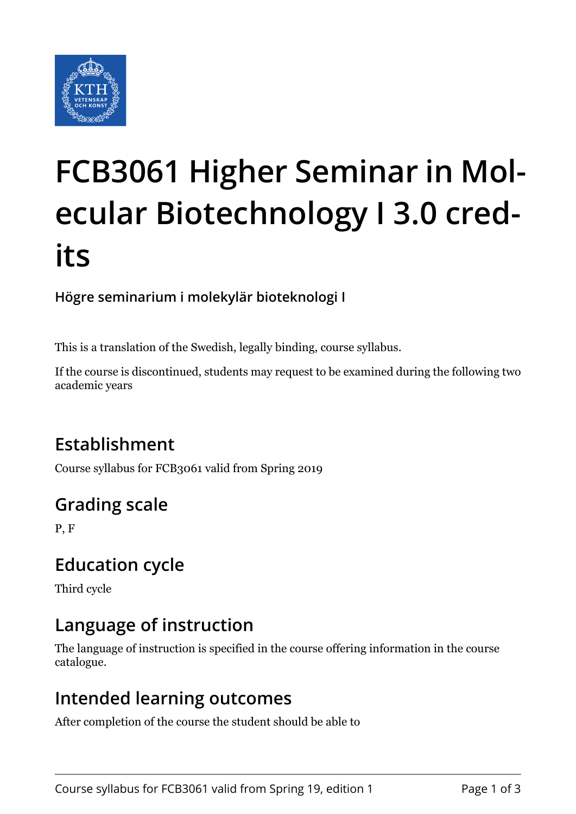

# **FCB3061 Higher Seminar in Molecular Biotechnology I 3.0 credits**

#### **Högre seminarium i molekylär bioteknologi I**

This is a translation of the Swedish, legally binding, course syllabus.

If the course is discontinued, students may request to be examined during the following two academic years

## **Establishment**

Course syllabus for FCB3061 valid from Spring 2019

## **Grading scale**

P, F

## **Education cycle**

Third cycle

## **Language of instruction**

The language of instruction is specified in the course offering information in the course catalogue.

### **Intended learning outcomes**

After completion of the course the student should be able to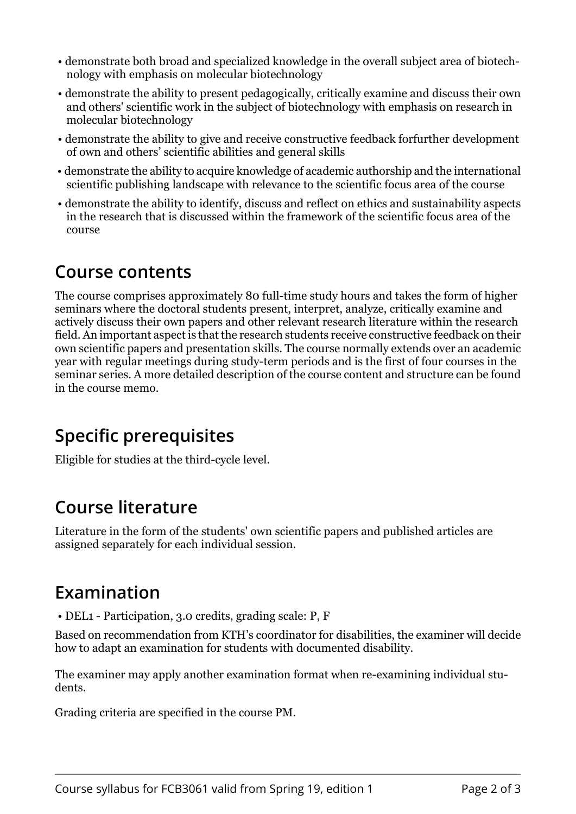- demonstrate both broad and specialized knowledge in the overall subject area of biotechnology with emphasis on molecular biotechnology
- demonstrate the ability to present pedagogically, critically examine and discuss their own and others' scientific work in the subject of biotechnology with emphasis on research in molecular biotechnology
- demonstrate the ability to give and receive constructive feedback forfurther development of own and others' scientific abilities and general skills
- demonstrate the ability to acquire knowledge of academic authorship and the international scientific publishing landscape with relevance to the scientific focus area of the course
- demonstrate the ability to identify, discuss and reflect on ethics and sustainability aspects in the research that is discussed within the framework of the scientific focus area of the course

#### **Course contents**

The course comprises approximately 80 full-time study hours and takes the form of higher seminars where the doctoral students present, interpret, analyze, critically examine and actively discuss their own papers and other relevant research literature within the research field. An important aspect is that the research students receive constructive feedback on their own scientific papers and presentation skills. The course normally extends over an academic year with regular meetings during study-term periods and is the first of four courses in the seminar series. A more detailed description of the course content and structure can be found in the course memo.

## **Specific prerequisites**

Eligible for studies at the third-cycle level.

### **Course literature**

Literature in the form of the students' own scientific papers and published articles are assigned separately for each individual session.

### **Examination**

• DEL1 - Participation, 3.0 credits, grading scale: P, F

Based on recommendation from KTH's coordinator for disabilities, the examiner will decide how to adapt an examination for students with documented disability.

The examiner may apply another examination format when re-examining individual students.

Grading criteria are specified in the course PM.